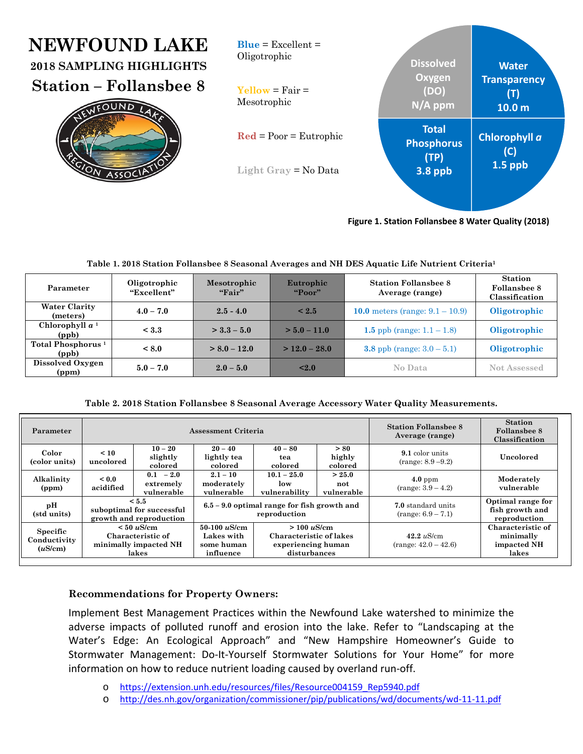#### $\overline{a}$ **NEWFOUND LAKE 2018 SAMPLING HIGHLIGHTS Station – Follansbee 8 Water Transparency (T) 10.0 m Chlorophyll** *a* **(C) 1.5 ppb Total Phosphorus (TP) 3.8 ppb Dissolved Oxygen (DO) N/A ppm**  $Blue = Excellent =$ Oligotrophic  $Y$ ellow = Fair = Mesotrophic **Red** = Poor = Eutrophic **Light Gray** = No Data

**Figure 1. Station Follansbee 8 Water Quality (2018)**

| Parameter                              | Oligotrophic<br>"Excellent" | Mesotrophic<br>"Fair" | Eutrophic<br>"Poor" | <b>Station Follanshee 8</b><br>Average (range) | <b>Station</b><br>Follansbee 8<br>Classification |
|----------------------------------------|-----------------------------|-----------------------|---------------------|------------------------------------------------|--------------------------------------------------|
| <b>Water Clarity</b><br>(meters)       | $4.0 - 7.0$                 | $2.5 - 4.0$           | ${}_{\leq 2.5}$     | 10.0 meters (range: $9.1 - 10.9$ )             | Oligotrophic                                     |
| Chlorophyll $a1$<br>(ppb)              | < 3.3                       | $>$ 3.3 – 5.0         | $> 5.0 - 11.0$      | 1.5 ppb (range: $1.1 - 1.8$ )                  | Oligotrophic                                     |
| Total Phosphorus <sup>1</sup><br>(ppb) | < 8.0                       | $> 8.0 - 12.0$        | $>$ 12.0 – 28.0     | <b>3.8</b> ppb (range: $3.0 - 5.1$ )           | Oligotrophic                                     |
| Dissolved Oxygen<br>(ppm)              | $5.0 - 7.0$                 | $2.0 - 5.0$           | < 2.0               | No Data                                        | <b>Not Assessed</b>                              |

## **Table 1. 2018 Station Follansbee 8 Seasonal Averages and NH DES Aquatic Life Nutrient Criteria1**

# **Table 2. 2018 Station Follansbee 8 Seasonal Average Accessory Water Quality Measurements.**

| Parameter                                  | Assessment Criteria                                                    |                                        |                                                               |                                                                                   |                             | <b>Station Follanshee 8</b><br>Average (range) | <b>Station</b><br>Follansbee 8<br>Classification       |
|--------------------------------------------|------------------------------------------------------------------------|----------------------------------------|---------------------------------------------------------------|-----------------------------------------------------------------------------------|-----------------------------|------------------------------------------------|--------------------------------------------------------|
| Color<br>(color units)                     | $\leq 10$<br>uncolored                                                 | $10 - 20$<br>slightly<br>colored       | $20 - 40$<br>lightly tea<br>colored                           | $40 - 80$<br>tea<br>colored                                                       | > 80<br>highly<br>colored   | 9.1 color units<br>$(range: 8.9 - 9.2)$        | Uncolored                                              |
| Alkalinity<br>(ppm)                        | ~< 0.0<br>acidified                                                    | $0.1 - 2.0$<br>extremely<br>vulnerable | $2.1 - 10$<br>moderately<br>vulnerable                        | $10.1 - 25.0$<br>low<br>vulnerability                                             | > 25.0<br>not<br>vulnerable | $4.0$ ppm<br>$(range: 3.9 - 4.2)$              | Moderately<br>vulnerable                               |
| pН<br>(std units)                          | < 5.5<br>suboptimal for successful<br>growth and reproduction          |                                        | $6.5 - 9.0$ optimal range for fish growth and<br>reproduction |                                                                                   |                             | 7.0 standard units<br>$(range: 6.9 - 7.1)$     | Optimal range for<br>fish growth and<br>reproduction   |
| <b>Specific</b><br>Conductivity<br>(uS/cm) | $< 50 \mu$ S/cm<br>Characteristic of<br>minimally impacted NH<br>lakes |                                        | $50-100 \; \mu$ S/cm<br>Lakes with<br>some human<br>influence | $> 100 \mu$ S/cm<br>Characteristic of lakes<br>experiencing human<br>disturbances |                             | $42.2$ uS/cm<br>$(range: 42.0 - 42.6)$         | Characteristic of<br>minimally<br>impacted NH<br>lakes |

# **Recommendations for Property Owners:**

Implement Best Management Practices within the Newfound Lake watershed to minimize the adverse impacts of polluted runoff and erosion into the lake. Refer to "Landscaping at the Water's Edge: An Ecological Approach" and "New Hampshire Homeowner's Guide to Stormwater Management: Do-It-Yourself Stormwater Solutions for Your Home" for more information on how to reduce nutrient loading caused by overland run‐off.

- o https://extension.unh.edu/resources/files/Resource004159\_Rep5940.pdf
- o http://des.nh.gov/organization/commissioner/pip/publications/wd/documents/wd‐11‐11.pdf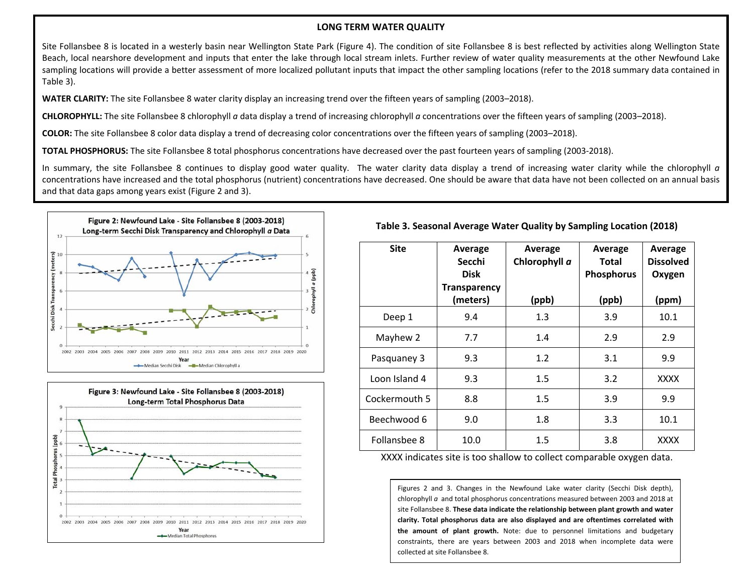#### **LONG TERM WATER QUALITY**

Site Follansbee 8 is located in <sup>a</sup> westerly basin near Wellington State Park (Figure 4). The condition of site Follansbee 8 is best reflected by activities along Wellington State Beach, local nearshore development and inputs that enter the lake through local stream inlets. Further review of water quality measurements at the other Newfound Lake sampling locations will provide a better assessment of more localized pollutant inputs that impact the other sampling locations (refer to the 2018 summary data contained in Table 3).

**WATER CLARITY:** The site Follansbee 8 water clarity display an increasing trend over the fifteen years of sampling (2003–2018).

**CHLOROPHYLL:** The site Follansbee 8 chlorophyll *<sup>a</sup>* data display <sup>a</sup> trend of increasing chlorophyll *<sup>a</sup>* concentrations over the fifteen years of sampling (2003–2018).

**COLOR:** The site Follansbee 8 color data display <sup>a</sup> trend of decreasing color concentrations over the fifteen years of sampling (2003–2018).

**TOTAL PHOSPHORUS:** The site Follansbee 8 total phosphorus concentrations have decreased over the past fourteen years of sampling (2003‐2018).

In summary, the site Follansbee 8 continues to display good water quality. The water clarity data display <sup>a</sup> trend of increasing water clarity while the chlorophyll *<sup>a</sup>* concentrations have increased and the total phosphorus (nutrient) concentrations have decreased. One should be aware that data have not been collected on an annual basis and that data gaps among years exist (Figure 2 and 3).





## **Table 3. Seasonal Average Water Quality by Sampling Location (2018)**

| <b>Site</b>   | Average<br>Secchi<br><b>Disk</b><br><b>Transparency</b> | Average<br>Chlorophyll a | Average<br><b>Total</b><br><b>Phosphorus</b> | Average<br><b>Dissolved</b><br>Oxygen |
|---------------|---------------------------------------------------------|--------------------------|----------------------------------------------|---------------------------------------|
|               | (meters)                                                | (ppb)                    | (ppb)                                        | (ppm)                                 |
| Deep 1        | 9.4                                                     | 1.3                      | 3.9                                          | 10.1                                  |
| Mayhew 2      | 7.7                                                     | 1.4                      | 2.9                                          | 2.9                                   |
| Pasquaney 3   | 9.3                                                     | 1.2                      | 3.1                                          | 9.9                                   |
| Loon Island 4 | 9.3                                                     | 1.5                      | 3.2                                          | <b>XXXX</b>                           |
| Cockermouth 5 | 8.8                                                     | 1.5                      | 3.9                                          | 9.9                                   |
| Beechwood 6   | 9.0                                                     | 1.8                      | 3.3                                          | 10.1                                  |
| Follansbee 8  | 10.0                                                    | 1.5                      | 3.8                                          | <b>XXXX</b>                           |

XXXX indicates site is too shallow to collect comparable oxygen data.

Figures 2 and 3. Changes in the Newfound Lake water clarity (Secchi Disk depth), chlorophyll *<sup>a</sup>* and total phosphorus concentrations measured between 2003 and 2018 at site Follansbee 8. **These data indicate the relationship between plant growth and water clarity. Total phosphorus data are also displayed and are oftentimes correlated with the amount of plant growth.** Note: due to personnel limitations and budgetary constraints, there are years between 2003 and 2018 when incomplete data were collected at site Follansbee 8.